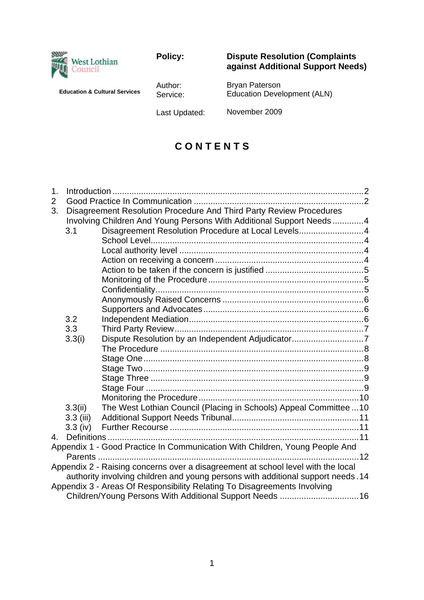

**Policy:** 

# **Dispute Resolution (Complaints against Additional Support Needs)**

**Education & Cultural Services** 

Author: Service: Bryan Paterson Education Development (ALN)

Last Updated:

November 2009

# **C O N T E N T S**

| 1.                                                                          |                                                                                  |                                                                                  |  |  |
|-----------------------------------------------------------------------------|----------------------------------------------------------------------------------|----------------------------------------------------------------------------------|--|--|
| $\overline{2}$                                                              |                                                                                  |                                                                                  |  |  |
| 3.                                                                          | Disagreement Resolution Procedure And Third Party Review Procedures              |                                                                                  |  |  |
|                                                                             | Involving Children And Young Persons With Additional Support Needs4              |                                                                                  |  |  |
|                                                                             | 3.1                                                                              | Disagreement Resolution Procedure at Local Levels4                               |  |  |
|                                                                             |                                                                                  |                                                                                  |  |  |
|                                                                             |                                                                                  |                                                                                  |  |  |
|                                                                             |                                                                                  |                                                                                  |  |  |
|                                                                             |                                                                                  |                                                                                  |  |  |
|                                                                             |                                                                                  |                                                                                  |  |  |
|                                                                             |                                                                                  |                                                                                  |  |  |
|                                                                             |                                                                                  |                                                                                  |  |  |
|                                                                             |                                                                                  |                                                                                  |  |  |
|                                                                             | 3.2                                                                              |                                                                                  |  |  |
|                                                                             | 3.3                                                                              |                                                                                  |  |  |
|                                                                             | 3.3(i)                                                                           | Dispute Resolution by an Independent Adjudicator7                                |  |  |
|                                                                             |                                                                                  |                                                                                  |  |  |
|                                                                             |                                                                                  |                                                                                  |  |  |
|                                                                             |                                                                                  |                                                                                  |  |  |
|                                                                             |                                                                                  |                                                                                  |  |  |
|                                                                             |                                                                                  |                                                                                  |  |  |
|                                                                             |                                                                                  |                                                                                  |  |  |
|                                                                             | 3.3(ii)                                                                          | The West Lothian Council (Placing in Schools) Appeal Committee  10               |  |  |
|                                                                             | $3.3$ (iii)                                                                      |                                                                                  |  |  |
|                                                                             | $3.3$ (iv)                                                                       |                                                                                  |  |  |
| $\mathbf{4}$                                                                |                                                                                  |                                                                                  |  |  |
| Appendix 1 - Good Practice In Communication With Children, Young People And |                                                                                  |                                                                                  |  |  |
|                                                                             |                                                                                  |                                                                                  |  |  |
|                                                                             | Appendix 2 - Raising concerns over a disagreement at school level with the local |                                                                                  |  |  |
|                                                                             |                                                                                  | authority involving children and young persons with additional support needs. 14 |  |  |
|                                                                             | Appendix 3 - Areas Of Responsibility Relating To Disagreements Involving         |                                                                                  |  |  |
|                                                                             | Children/Young Persons With Additional Support Needs  16                         |                                                                                  |  |  |
|                                                                             |                                                                                  |                                                                                  |  |  |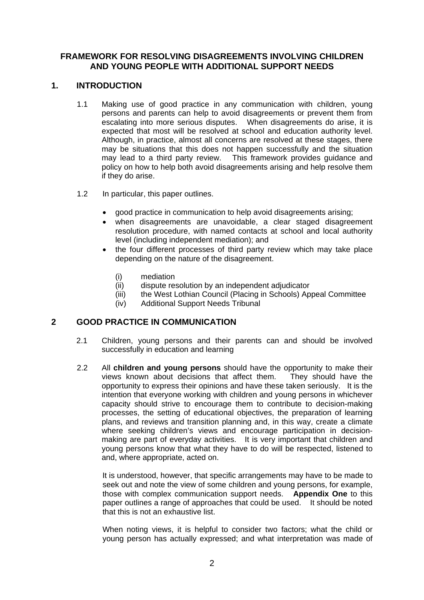## <span id="page-1-0"></span>**FRAMEWORK FOR RESOLVING DISAGREEMENTS INVOLVING CHILDREN AND YOUNG PEOPLE WITH ADDITIONAL SUPPORT NEEDS**

# **1. INTRODUCTION**

- 1.1 Making use of good practice in any communication with children, young persons and parents can help to avoid disagreements or prevent them from escalating into more serious disputes. When disagreements do arise, it is expected that most will be resolved at school and education authority level. Although, in practice, almost all concerns are resolved at these stages, there may be situations that this does not happen successfully and the situation may lead to a third party review. This framework provides guidance and policy on how to help both avoid disagreements arising and help resolve them if they do arise.
- 1.2 In particular, this paper outlines.
	- good practice in communication to help avoid disagreements arising;
	- when disagreements are unavoidable, a clear staged disagreement resolution procedure, with named contacts at school and local authority level (including independent mediation); and
	- the four different processes of third party review which may take place depending on the nature of the disagreement.
		- (i) mediation<br>(ii) dispute res
		- dispute resolution by an independent adjudicator
		- (iii) the West Lothian Council (Placing in Schools) Appeal Committee
		- (iv) Additional Support Needs Tribunal

## **2 GOOD PRACTICE IN COMMUNICATION**

- 2.1 Children, young persons and their parents can and should be involved successfully in education and learning
- 2.2 All **children and young persons** should have the opportunity to make their views known about decisions that affect them. They should have the opportunity to express their opinions and have these taken seriously. It is the intention that everyone working with children and young persons in whichever capacity should strive to encourage them to contribute to decision-making processes, the setting of educational objectives, the preparation of learning plans, and reviews and transition planning and, in this way, create a climate where seeking children's views and encourage participation in decisionmaking are part of everyday activities. It is very important that children and young persons know that what they have to do will be respected, listened to and, where appropriate, acted on.

It is understood, however, that specific arrangements may have to be made to seek out and note the view of some children and young persons, for example, those with complex communication support needs. **Appendix One** to this paper outlines a range of approaches that could be used. It should be noted that this is not an exhaustive list.

When noting views, it is helpful to consider two factors; what the child or young person has actually expressed; and what interpretation was made of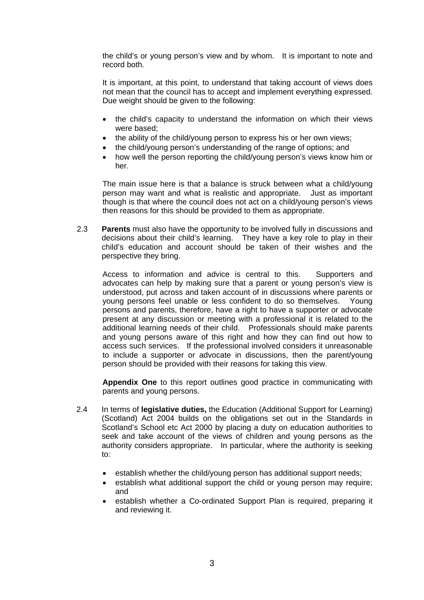the child's or young person's view and by whom. It is important to note and record both.

It is important, at this point, to understand that taking account of views does not mean that the council has to accept and implement everything expressed. Due weight should be given to the following:

- the child's capacity to understand the information on which their views were based;
- the ability of the child/young person to express his or her own views;
- the child/young person's understanding of the range of options; and
- how well the person reporting the child/young person's views know him or her.

The main issue here is that a balance is struck between what a child/young person may want and what is realistic and appropriate. Just as important though is that where the council does not act on a child/young person's views then reasons for this should be provided to them as appropriate.

2.3 **Parents** must also have the opportunity to be involved fully in discussions and decisions about their child's learning. They have a key role to play in their child's education and account should be taken of their wishes and the perspective they bring.

Access to information and advice is central to this. Supporters and advocates can help by making sure that a parent or young person's view is understood, put across and taken account of in discussions where parents or young persons feel unable or less confident to do so themselves. Young persons and parents, therefore, have a right to have a supporter or advocate present at any discussion or meeting with a professional it is related to the additional learning needs of their child. Professionals should make parents and young persons aware of this right and how they can find out how to access such services. If the professional involved considers it unreasonable to include a supporter or advocate in discussions, then the parent/young person should be provided with their reasons for taking this view.

**Appendix One** to this report outlines good practice in communicating with parents and young persons.

- 2.4 In terms of **legislative duties,** the Education (Additional Support for Learning) (Scotland) Act 2004 builds on the obligations set out in the Standards in Scotland's School etc Act 2000 by placing a duty on education authorities to seek and take account of the views of children and young persons as the authority considers appropriate. In particular, where the authority is seeking to:
	- establish whether the child/young person has additional support needs;
	- establish what additional support the child or young person may require; and
	- establish whether a Co-ordinated Support Plan is required, preparing it and reviewing it.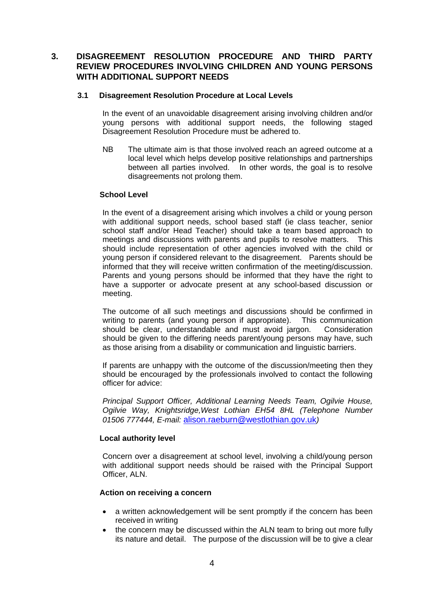## <span id="page-3-0"></span>**3. DISAGREEMENT RESOLUTION PROCEDURE AND THIRD PARTY REVIEW PROCEDURES INVOLVING CHILDREN AND YOUNG PERSONS WITH ADDITIONAL SUPPORT NEEDS**

#### **3.1 Disagreement Resolution Procedure at Local Levels**

 In the event of an unavoidable disagreement arising involving children and/or young persons with additional support needs, the following staged Disagreement Resolution Procedure must be adhered to.

NB The ultimate aim is that those involved reach an agreed outcome at a local level which helps develop positive relationships and partnerships between all parties involved. In other words, the goal is to resolve disagreements not prolong them.

#### **School Level**

In the event of a disagreement arising which involves a child or young person with additional support needs, school based staff (ie class teacher, senior school staff and/or Head Teacher) should take a team based approach to meetings and discussions with parents and pupils to resolve matters. This should include representation of other agencies involved with the child or young person if considered relevant to the disagreement. Parents should be informed that they will receive written confirmation of the meeting/discussion. Parents and young persons should be informed that they have the right to have a supporter or advocate present at any school-based discussion or meeting.

The outcome of all such meetings and discussions should be confirmed in writing to parents (and young person if appropriate). This communication should be clear, understandable and must avoid jargon. Consideration should be given to the differing needs parent/young persons may have, such as those arising from a disability or communication and linguistic barriers.

If parents are unhappy with the outcome of the discussion/meeting then they should be encouraged by the professionals involved to contact the following officer for advice:

*Principal Support Officer, Additional Learning Needs Team, Ogilvie House, Ogilvie Way, Knightsridge,West Lothian EH54 8HL (Telephone Number 01506 777444, E-mail:* [alison.raeburn@westlothian.gov.uk](mailto:alison.raeburn@westlothian.gov.uk)*)* 

#### **Local authority level**

Concern over a disagreement at school level, involving a child/young person with additional support needs should be raised with the Principal Support Officer, ALN.

#### **Action on receiving a concern**

- a written acknowledgement will be sent promptly if the concern has been received in writing
- the concern may be discussed within the ALN team to bring out more fully its nature and detail. The purpose of the discussion will be to give a clear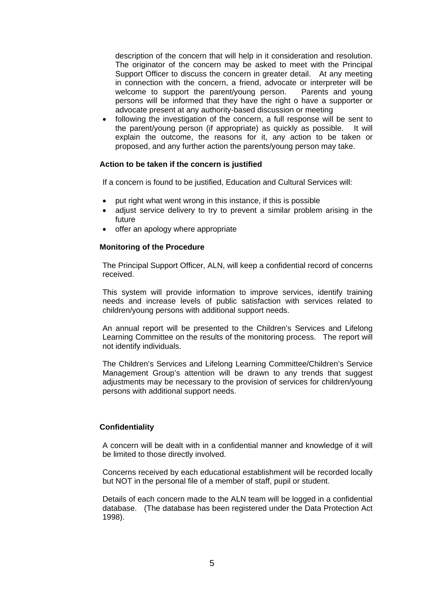<span id="page-4-0"></span>description of the concern that will help in it consideration and resolution. The originator of the concern may be asked to meet with the Principal Support Officer to discuss the concern in greater detail. At any meeting in connection with the concern, a friend, advocate or interpreter will be welcome to support the parent/young person. Parents and young persons will be informed that they have the right o have a supporter or advocate present at any authority-based discussion or meeting

• following the investigation of the concern, a full response will be sent to the parent/young person (if appropriate) as quickly as possible. It will explain the outcome, the reasons for it, any action to be taken or proposed, and any further action the parents/young person may take.

#### **Action to be taken if the concern is justified**

If a concern is found to be justified, Education and Cultural Services will:

- put right what went wrong in this instance, if this is possible
- adjust service delivery to try to prevent a similar problem arising in the future
- offer an apology where appropriate

#### **Monitoring of the Procedure**

The Principal Support Officer, ALN, will keep a confidential record of concerns received.

This system will provide information to improve services, identify training needs and increase levels of public satisfaction with services related to children/young persons with additional support needs.

An annual report will be presented to the Children's Services and Lifelong Learning Committee on the results of the monitoring process. The report will not identify individuals.

The Children's Services and Lifelong Learning Committee/Children's Service Management Group's attention will be drawn to any trends that suggest adjustments may be necessary to the provision of services for children/young persons with additional support needs.

#### **Confidentiality**

A concern will be dealt with in a confidential manner and knowledge of it will be limited to those directly involved.

Concerns received by each educational establishment will be recorded locally but NOT in the personal file of a member of staff, pupil or student.

Details of each concern made to the ALN team will be logged in a confidential database. (The database has been registered under the Data Protection Act 1998).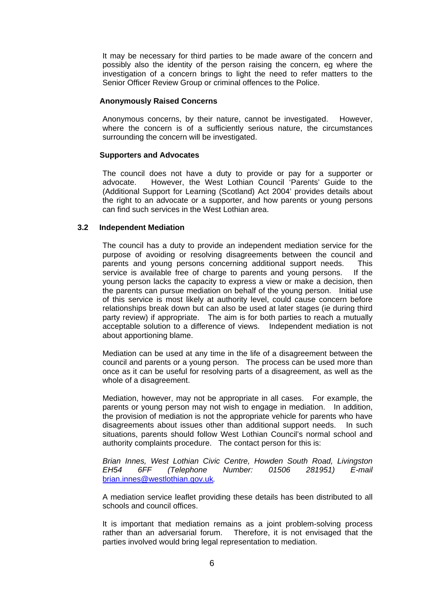<span id="page-5-0"></span>It may be necessary for third parties to be made aware of the concern and possibly also the identity of the person raising the concern, eg where the investigation of a concern brings to light the need to refer matters to the Senior Officer Review Group or criminal offences to the Police.

#### **Anonymously Raised Concerns**

Anonymous concerns, by their nature, cannot be investigated. However, where the concern is of a sufficiently serious nature, the circumstances surrounding the concern will be investigated.

#### **Supporters and Advocates**

The council does not have a duty to provide or pay for a supporter or advocate. However, the West Lothian Council 'Parents' Guide to the (Additional Support for Learning (Scotland) Act 2004' provides details about the right to an advocate or a supporter, and how parents or young persons can find such services in the West Lothian area.

#### **3.2 Independent Mediation**

The council has a duty to provide an independent mediation service for the purpose of avoiding or resolving disagreements between the council and parents and young persons concerning additional support needs. This service is available free of charge to parents and young persons. If the young person lacks the capacity to express a view or make a decision, then the parents can pursue mediation on behalf of the young person. Initial use of this service is most likely at authority level, could cause concern before relationships break down but can also be used at later stages (ie during third party review) if appropriate. The aim is for both parties to reach a mutually acceptable solution to a difference of views. Independent mediation is not about apportioning blame.

Mediation can be used at any time in the life of a disagreement between the council and parents or a young person. The process can be used more than once as it can be useful for resolving parts of a disagreement, as well as the whole of a disagreement.

Mediation, however, may not be appropriate in all cases. For example, the parents or young person may not wish to engage in mediation. In addition, the provision of mediation is not the appropriate vehicle for parents who have disagreements about issues other than additional support needs. In such situations, parents should follow West Lothian Council's normal school and authority complaints procedure. The contact person for this is:

*Brian Innes, West Lothian Civic Centre, Howden South Road, Livingston EH54 6FF (Telephone Number: 01506 281951) E-mail*  [brian.innes@westlothian.gov.uk](mailto:brian.innes@westlothian.gov.uk)*.* 

A mediation service leaflet providing these details has been distributed to all schools and council offices.

It is important that mediation remains as a joint problem-solving process rather than an adversarial forum. Therefore, it is not envisaged that the parties involved would bring legal representation to mediation.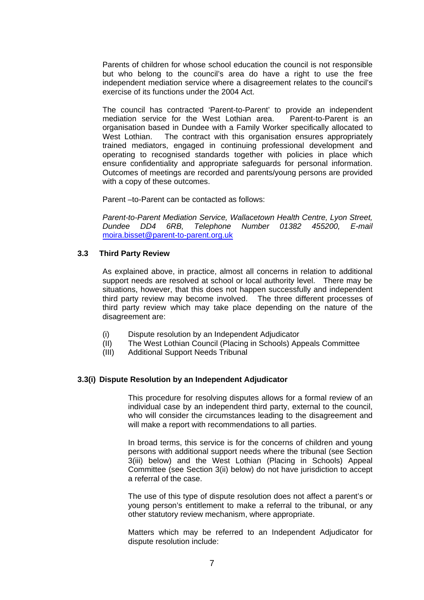<span id="page-6-0"></span>Parents of children for whose school education the council is not responsible but who belong to the council's area do have a right to use the free independent mediation service where a disagreement relates to the council's exercise of its functions under the 2004 Act.

The council has contracted 'Parent-to-Parent' to provide an independent mediation service for the West Lothian area. Parent-to-Parent is an organisation based in Dundee with a Family Worker specifically allocated to West Lothian. The contract with this organisation ensures appropriately trained mediators, engaged in continuing professional development and operating to recognised standards together with policies in place which ensure confidentiality and appropriate safeguards for personal information. Outcomes of meetings are recorded and parents/young persons are provided with a copy of these outcomes.

Parent –to-Parent can be contacted as follows:

*Parent-to-Parent Mediation Service, Wallacetown Health Centre, Lyon Street, Dundee DD4 6RB, Telephone Number 01382 455200, E-mail*  [moira.bisset@parent-to-parent.org.uk](mailto:moira.bisset@parent-to-parent.org.uk)

#### **3.3 Third Party Review**

As explained above, in practice, almost all concerns in relation to additional support needs are resolved at school or local authority level. There may be situations, however, that this does not happen successfully and independent third party review may become involved. The three different processes of third party review which may take place depending on the nature of the disagreement are:

- (i) Dispute resolution by an Independent Adjudicator
- (II) The West Lothian Council (Placing in Schools) Appeals Committee
- (III) Additional Support Needs Tribunal

#### **3.3(i) Dispute Resolution by an Independent Adjudicator**

This procedure for resolving disputes allows for a formal review of an individual case by an independent third party, external to the council, who will consider the circumstances leading to the disagreement and will make a report with recommendations to all parties.

 In broad terms, this service is for the concerns of children and young persons with additional support needs where the tribunal (see Section 3(iii) below) and the West Lothian (Placing in Schools) Appeal Committee (see Section 3(ii) below) do not have jurisdiction to accept a referral of the case.

 The use of this type of dispute resolution does not affect a parent's or young person's entitlement to make a referral to the tribunal, or any other statutory review mechanism, where appropriate.

 Matters which may be referred to an Independent Adjudicator for dispute resolution include: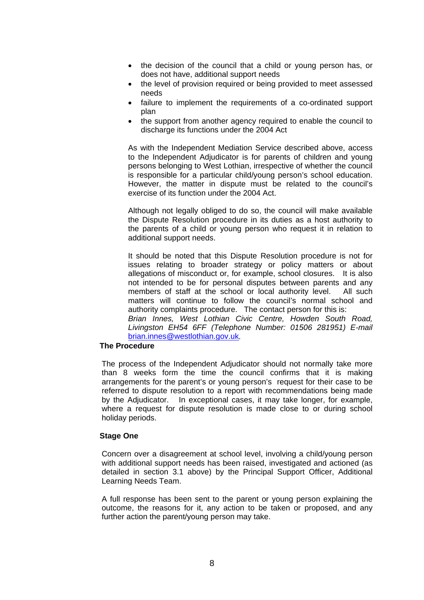- <span id="page-7-0"></span>the decision of the council that a child or young person has, or does not have, additional support needs
- the level of provision required or being provided to meet assessed needs
- failure to implement the requirements of a co-ordinated support plan
- the support from another agency required to enable the council to discharge its functions under the 2004 Act

As with the Independent Mediation Service described above, access to the Independent Adjudicator is for parents of children and young persons belonging to West Lothian, irrespective of whether the council is responsible for a particular child/young person's school education. However, the matter in dispute must be related to the council's exercise of its function under the 2004 Act.

Although not legally obliged to do so, the council will make available the Dispute Resolution procedure in its duties as a host authority to the parents of a child or young person who request it in relation to additional support needs.

It should be noted that this Dispute Resolution procedure is not for issues relating to broader strategy or policy matters or about allegations of misconduct or, for example, school closures. It is also not intended to be for personal disputes between parents and any members of staff at the school or local authority level. All such matters will continue to follow the council's normal school and authority complaints procedure. The contact person for this is: *Brian Innes, West Lothian Civic Centre, Howden South Road, Livingston EH54 6FF (Telephone Number: 01506 281951) E-mail*  [brian.innes@westlothian.gov.uk](mailto:brian.innes@westlothian.gov.uk)*.* 

#### **The Procedure**

The process of the Independent Adjudicator should not normally take more than 8 weeks form the time the council confirms that it is making arrangements for the parent's or young person's request for their case to be referred to dispute resolution to a report with recommendations being made by the Adjudicator. In exceptional cases, it may take longer, for example, where a request for dispute resolution is made close to or during school holiday periods.

#### **Stage One**

Concern over a disagreement at school level, involving a child/young person with additional support needs has been raised, investigated and actioned (as detailed in section 3.1 above) by the Principal Support Officer, Additional Learning Needs Team.

A full response has been sent to the parent or young person explaining the outcome, the reasons for it, any action to be taken or proposed, and any further action the parent/young person may take.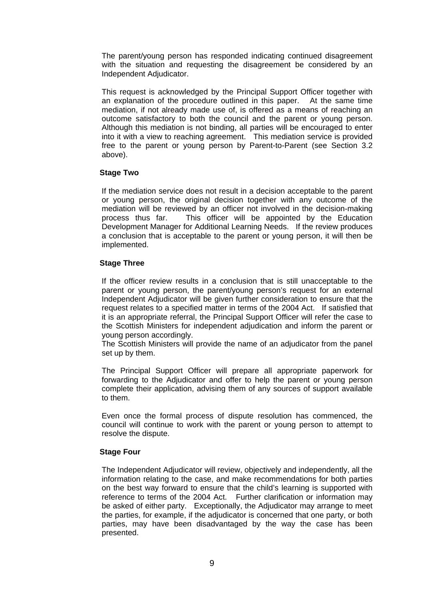<span id="page-8-0"></span>The parent/young person has responded indicating continued disagreement with the situation and requesting the disagreement be considered by an Independent Adjudicator.

This request is acknowledged by the Principal Support Officer together with an explanation of the procedure outlined in this paper. At the same time mediation, if not already made use of, is offered as a means of reaching an outcome satisfactory to both the council and the parent or young person. Although this mediation is not binding, all parties will be encouraged to enter into it with a view to reaching agreement. This mediation service is provided free to the parent or young person by Parent-to-Parent (see Section 3.2 above).

#### **Stage Two**

If the mediation service does not result in a decision acceptable to the parent or young person, the original decision together with any outcome of the mediation will be reviewed by an officer not involved in the decision-making process thus far. This officer will be appointed by the Education Development Manager for Additional Learning Needs. If the review produces a conclusion that is acceptable to the parent or young person, it will then be implemented.

#### **Stage Three**

If the officer review results in a conclusion that is still unacceptable to the parent or young person, the parent/young person's request for an external Independent Adjudicator will be given further consideration to ensure that the request relates to a specified matter in terms of the 2004 Act. If satisfied that it is an appropriate referral, the Principal Support Officer will refer the case to the Scottish Ministers for independent adjudication and inform the parent or young person accordingly.

The Scottish Ministers will provide the name of an adjudicator from the panel set up by them.

The Principal Support Officer will prepare all appropriate paperwork for forwarding to the Adjudicator and offer to help the parent or young person complete their application, advising them of any sources of support available to them.

Even once the formal process of dispute resolution has commenced, the council will continue to work with the parent or young person to attempt to resolve the dispute.

#### **Stage Four**

The Independent Adjudicator will review, objectively and independently, all the information relating to the case, and make recommendations for both parties on the best way forward to ensure that the child's learning is supported with reference to terms of the 2004 Act. Further clarification or information may be asked of either party. Exceptionally, the Adjudicator may arrange to meet the parties, for example, if the adjudicator is concerned that one party, or both parties, may have been disadvantaged by the way the case has been presented.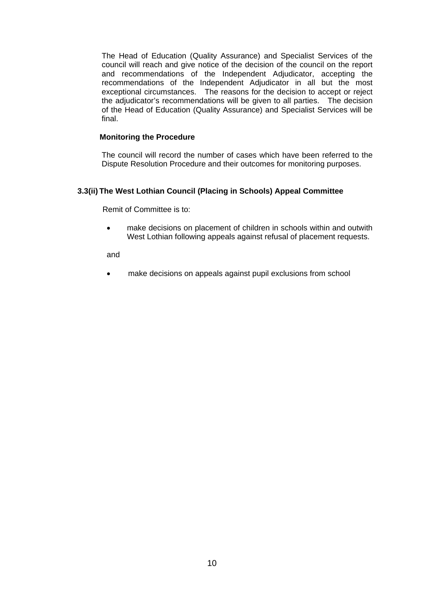<span id="page-9-0"></span>The Head of Education (Quality Assurance) and Specialist Services of the council will reach and give notice of the decision of the council on the report and recommendations of the Independent Adjudicator, accepting the recommendations of the Independent Adjudicator in all but the most exceptional circumstances. The reasons for the decision to accept or reject the adjudicator's recommendations will be given to all parties. The decision of the Head of Education (Quality Assurance) and Specialist Services will be final.

#### **Monitoring the Procedure**

The council will record the number of cases which have been referred to the Dispute Resolution Procedure and their outcomes for monitoring purposes.

#### **3.3(ii) The West Lothian Council (Placing in Schools) Appeal Committee**

Remit of Committee is to:

• make decisions on placement of children in schools within and outwith West Lothian following appeals against refusal of placement requests.

and

make decisions on appeals against pupil exclusions from school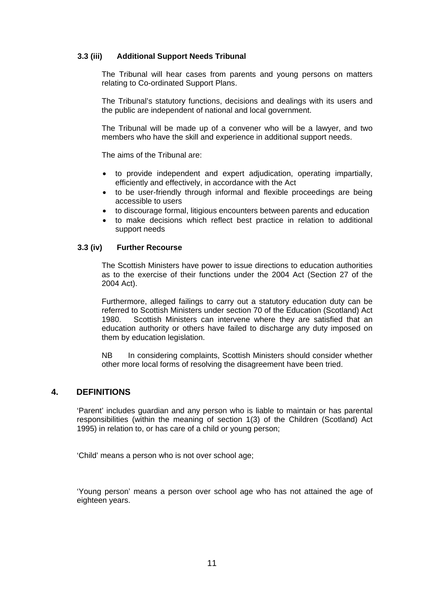#### <span id="page-10-0"></span>**3.3 (iii) Additional Support Needs Tribunal**

The Tribunal will hear cases from parents and young persons on matters relating to Co-ordinated Support Plans.

The Tribunal's statutory functions, decisions and dealings with its users and the public are independent of national and local government.

The Tribunal will be made up of a convener who will be a lawyer, and two members who have the skill and experience in additional support needs.

The aims of the Tribunal are:

- to provide independent and expert adjudication, operating impartially, efficiently and effectively, in accordance with the Act
- to be user-friendly through informal and flexible proceedings are being accessible to users
- to discourage formal, litigious encounters between parents and education
- to make decisions which reflect best practice in relation to additional support needs

#### **3.3 (iv) Further Recourse**

The Scottish Ministers have power to issue directions to education authorities as to the exercise of their functions under the 2004 Act (Section 27 of the 2004 Act).

Furthermore, alleged failings to carry out a statutory education duty can be referred to Scottish Ministers under section 70 of the Education (Scotland) Act 1980. Scottish Ministers can intervene where they are satisfied that an education authority or others have failed to discharge any duty imposed on them by education legislation.

NB In considering complaints, Scottish Ministers should consider whether other more local forms of resolving the disagreement have been tried.

#### **4. DEFINITIONS**

'Parent' includes guardian and any person who is liable to maintain or has parental responsibilities (within the meaning of section 1(3) of the Children (Scotland) Act 1995) in relation to, or has care of a child or young person;

'Child' means a person who is not over school age;

'Young person' means a person over school age who has not attained the age of eighteen years.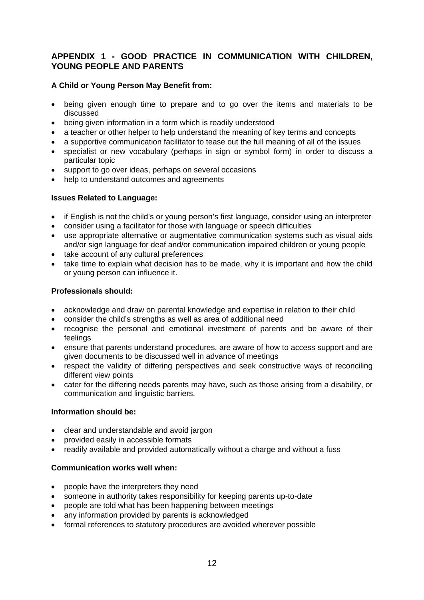# <span id="page-11-0"></span>**APPENDIX 1 - GOOD PRACTICE IN COMMUNICATION WITH CHILDREN, YOUNG PEOPLE AND PARENTS**

## **A Child or Young Person May Benefit from:**

- being given enough time to prepare and to go over the items and materials to be discussed
- being given information in a form which is readily understood
- a teacher or other helper to help understand the meaning of key terms and concepts
- a supportive communication facilitator to tease out the full meaning of all of the issues
- specialist or new vocabulary (perhaps in sign or symbol form) in order to discuss a particular topic
- support to go over ideas, perhaps on several occasions
- help to understand outcomes and agreements

#### **Issues Related to Language:**

- if English is not the child's or young person's first language, consider using an interpreter
- consider using a facilitator for those with language or speech difficulties
- use appropriate alternative or augmentative communication systems such as visual aids and/or sign language for deaf and/or communication impaired children or young people
- take account of any cultural preferences
- take time to explain what decision has to be made, why it is important and how the child or young person can influence it.

#### **Professionals should:**

- acknowledge and draw on parental knowledge and expertise in relation to their child
- consider the child's strengths as well as area of additional need
- recognise the personal and emotional investment of parents and be aware of their feelings
- ensure that parents understand procedures, are aware of how to access support and are given documents to be discussed well in advance of meetings
- respect the validity of differing perspectives and seek constructive ways of reconciling different view points
- cater for the differing needs parents may have, such as those arising from a disability, or communication and linguistic barriers.

## **Information should be:**

- clear and understandable and avoid jargon
- provided easily in accessible formats
- readily available and provided automatically without a charge and without a fuss

#### **Communication works well when:**

- people have the interpreters they need
- someone in authority takes responsibility for keeping parents up-to-date
- people are told what has been happening between meetings
- any information provided by parents is acknowledged
- formal references to statutory procedures are avoided wherever possible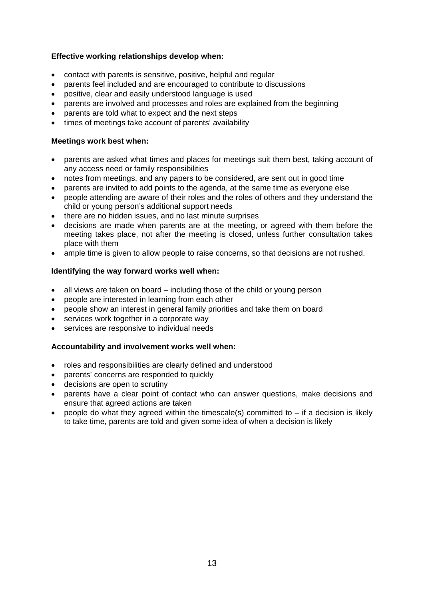## **Effective working relationships develop when:**

- contact with parents is sensitive, positive, helpful and regular
- parents feel included and are encouraged to contribute to discussions
- positive, clear and easily understood language is used
- parents are involved and processes and roles are explained from the beginning
- parents are told what to expect and the next steps
- times of meetings take account of parents' availability

#### **Meetings work best when:**

- parents are asked what times and places for meetings suit them best, taking account of any access need or family responsibilities
- notes from meetings, and any papers to be considered, are sent out in good time
- parents are invited to add points to the agenda, at the same time as everyone else
- people attending are aware of their roles and the roles of others and they understand the child or young person's additional support needs
- there are no hidden issues, and no last minute surprises
- decisions are made when parents are at the meeting, or agreed with them before the meeting takes place, not after the meeting is closed, unless further consultation takes place with them
- ample time is given to allow people to raise concerns, so that decisions are not rushed.

## **Identifying the way forward works well when:**

- all views are taken on board including those of the child or young person
- people are interested in learning from each other
- people show an interest in general family priorities and take them on board
- services work together in a corporate way
- services are responsive to individual needs

#### **Accountability and involvement works well when:**

- roles and responsibilities are clearly defined and understood
- parents' concerns are responded to quickly
- decisions are open to scrutiny
- parents have a clear point of contact who can answer questions, make decisions and ensure that agreed actions are taken
- people do what they agreed within the timescale(s) committed to  $-$  if a decision is likely to take time, parents are told and given some idea of when a decision is likely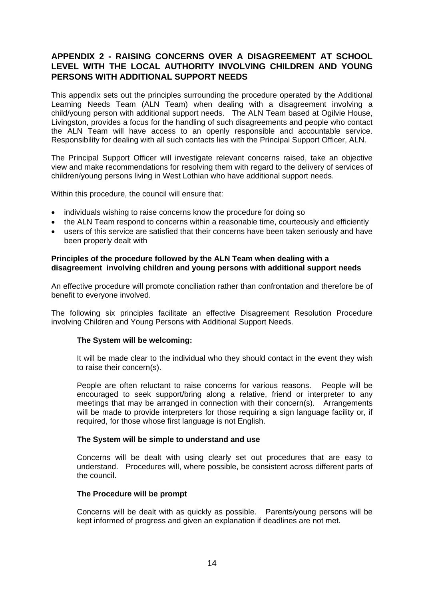# <span id="page-13-0"></span>**APPENDIX 2 - RAISING CONCERNS OVER A DISAGREEMENT AT SCHOOL LEVEL WITH THE LOCAL AUTHORITY INVOLVING CHILDREN AND YOUNG PERSONS WITH ADDITIONAL SUPPORT NEEDS**

This appendix sets out the principles surrounding the procedure operated by the Additional Learning Needs Team (ALN Team) when dealing with a disagreement involving a child/young person with additional support needs. The ALN Team based at Ogilvie House, Livingston, provides a focus for the handling of such disagreements and people who contact the ALN Team will have access to an openly responsible and accountable service. Responsibility for dealing with all such contacts lies with the Principal Support Officer, ALN.

The Principal Support Officer will investigate relevant concerns raised, take an objective view and make recommendations for resolving them with regard to the delivery of services of children/young persons living in West Lothian who have additional support needs.

Within this procedure, the council will ensure that:

- individuals wishing to raise concerns know the procedure for doing so
- the ALN Team respond to concerns within a reasonable time, courteously and efficiently
- users of this service are satisfied that their concerns have been taken seriously and have been properly dealt with

## **Principles of the procedure followed by the ALN Team when dealing with a disagreement involving children and young persons with additional support needs**

An effective procedure will promote conciliation rather than confrontation and therefore be of benefit to everyone involved.

The following six principles facilitate an effective Disagreement Resolution Procedure involving Children and Young Persons with Additional Support Needs.

#### **The System will be welcoming:**

It will be made clear to the individual who they should contact in the event they wish to raise their concern(s).

People are often reluctant to raise concerns for various reasons. People will be encouraged to seek support/bring along a relative, friend or interpreter to any meetings that may be arranged in connection with their concern(s). Arrangements will be made to provide interpreters for those requiring a sign language facility or, if required, for those whose first language is not English.

#### **The System will be simple to understand and use**

Concerns will be dealt with using clearly set out procedures that are easy to understand. Procedures will, where possible, be consistent across different parts of the council.

#### **The Procedure will be prompt**

Concerns will be dealt with as quickly as possible. Parents/young persons will be kept informed of progress and given an explanation if deadlines are not met.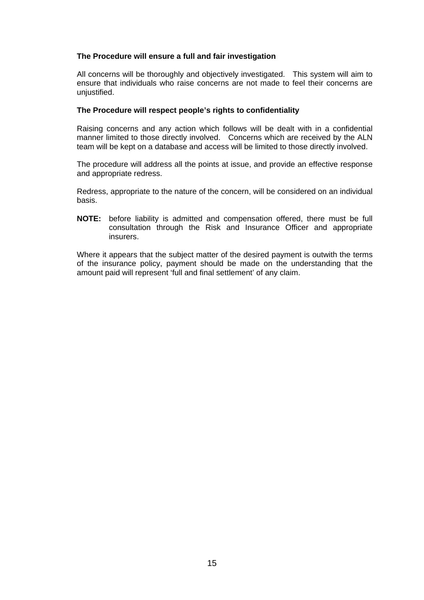#### **The Procedure will ensure a full and fair investigation**

All concerns will be thoroughly and objectively investigated. This system will aim to ensure that individuals who raise concerns are not made to feel their concerns are uniustified.

#### **The Procedure will respect people's rights to confidentiality**

Raising concerns and any action which follows will be dealt with in a confidential manner limited to those directly involved. Concerns which are received by the ALN team will be kept on a database and access will be limited to those directly involved.

The procedure will address all the points at issue, and provide an effective response and appropriate redress.

Redress, appropriate to the nature of the concern, will be considered on an individual basis.

**NOTE:** before liability is admitted and compensation offered, there must be full consultation through the Risk and Insurance Officer and appropriate insurers.

Where it appears that the subject matter of the desired payment is outwith the terms of the insurance policy, payment should be made on the understanding that the amount paid will represent 'full and final settlement' of any claim.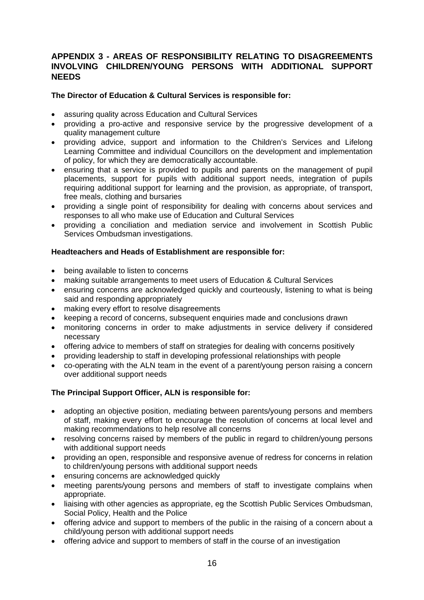# <span id="page-15-0"></span>**APPENDIX 3 - AREAS OF RESPONSIBILITY RELATING TO DISAGREEMENTS INVOLVING CHILDREN/YOUNG PERSONS WITH ADDITIONAL SUPPORT NEEDS**

## **The Director of Education & Cultural Services is responsible for:**

- assuring quality across Education and Cultural Services
- providing a pro-active and responsive service by the progressive development of a quality management culture
- providing advice, support and information to the Children's Services and Lifelong Learning Committee and individual Councillors on the development and implementation of policy, for which they are democratically accountable.
- ensuring that a service is provided to pupils and parents on the management of pupil placements, support for pupils with additional support needs, integration of pupils requiring additional support for learning and the provision, as appropriate, of transport, free meals, clothing and bursaries
- providing a single point of responsibility for dealing with concerns about services and responses to all who make use of Education and Cultural Services
- providing a conciliation and mediation service and involvement in Scottish Public Services Ombudsman investigations.

## **Headteachers and Heads of Establishment are responsible for:**

- being available to listen to concerns
- making suitable arrangements to meet users of Education & Cultural Services
- ensuring concerns are acknowledged quickly and courteously, listening to what is being said and responding appropriately
- making every effort to resolve disagreements
- keeping a record of concerns, subsequent enquiries made and conclusions drawn
- monitoring concerns in order to make adjustments in service delivery if considered necessary
- offering advice to members of staff on strategies for dealing with concerns positively
- providing leadership to staff in developing professional relationships with people
- co-operating with the ALN team in the event of a parent/young person raising a concern over additional support needs

## **The Principal Support Officer, ALN is responsible for:**

- adopting an objective position, mediating between parents/young persons and members of staff, making every effort to encourage the resolution of concerns at local level and making recommendations to help resolve all concerns
- resolving concerns raised by members of the public in regard to children/young persons with additional support needs
- providing an open, responsible and responsive avenue of redress for concerns in relation to children/young persons with additional support needs
- ensuring concerns are acknowledged quickly
- meeting parents/young persons and members of staff to investigate complains when appropriate.
- liaising with other agencies as appropriate, eg the Scottish Public Services Ombudsman, Social Policy, Health and the Police
- offering advice and support to members of the public in the raising of a concern about a child/young person with additional support needs
- offering advice and support to members of staff in the course of an investigation